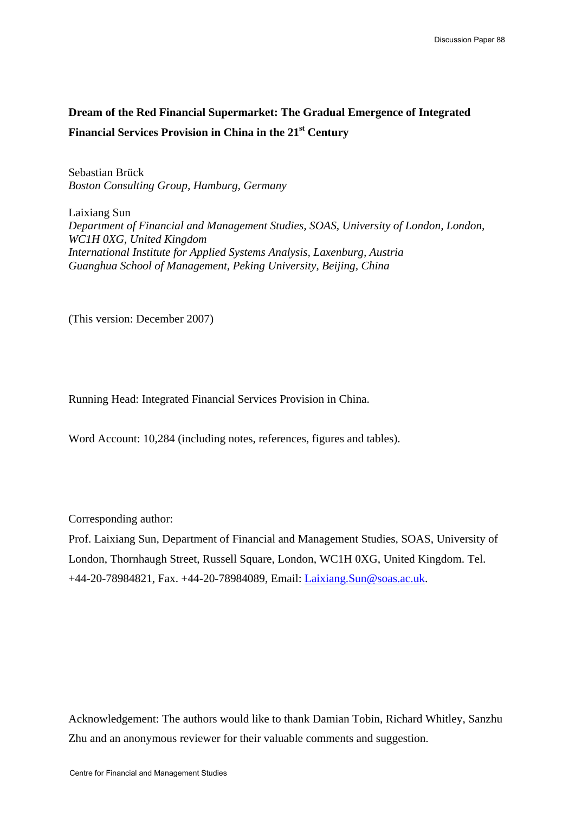Sebastian Brück *Boston Consulting Group, Hamburg, Germany*

Laixiang Sun *Department of Financial and Management Studies, SOAS, University of London, London, WC1H 0XG, United Kingdom International Institute for Applied Systems Analysis, Laxenburg, Austria Guanghua School of Management, Peking University, Beijing, China* 

(This version: December 2007)

Running Head: Integrated Financial Services Provision in China.

Word Account: 10,284 (including notes, references, figures and tables).

Corresponding author:

Prof. Laixiang Sun, Department of Financial and Management Studies, SOAS, University of London, Thornhaugh Street, Russell Square, London, WC1H 0XG, United Kingdom. Tel. +44-20-78984821, Fax. +44-20-78984089, Email: [Laixiang.Sun@soas.ac.uk](mailto:Laixiang.Sun@soas.ac.uk).

Acknowledgement: The authors would like to thank Damian Tobin, Richard Whitley, Sanzhu Zhu and an anonymous reviewer for their valuable comments and suggestion.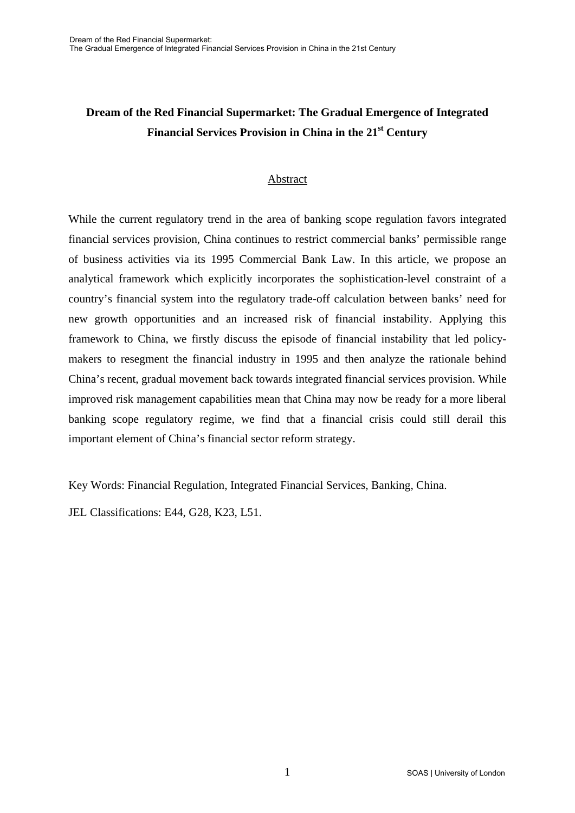## Abstract

While the current regulatory trend in the area of banking scope regulation favors integrated financial services provision, China continues to restrict commercial banks' permissible range of business activities via its 1995 Commercial Bank Law. In this article, we propose an analytical framework which explicitly incorporates the sophistication-level constraint of a country's financial system into the regulatory trade-off calculation between banks' need for new growth opportunities and an increased risk of financial instability. Applying this framework to China, we firstly discuss the episode of financial instability that led policymakers to resegment the financial industry in 1995 and then analyze the rationale behind China's recent, gradual movement back towards integrated financial services provision. While improved risk management capabilities mean that China may now be ready for a more liberal banking scope regulatory regime, we find that a financial crisis could still derail this important element of China's financial sector reform strategy.

Key Words: Financial Regulation, Integrated Financial Services, Banking, China.

JEL Classifications: E44, G28, K23, L51.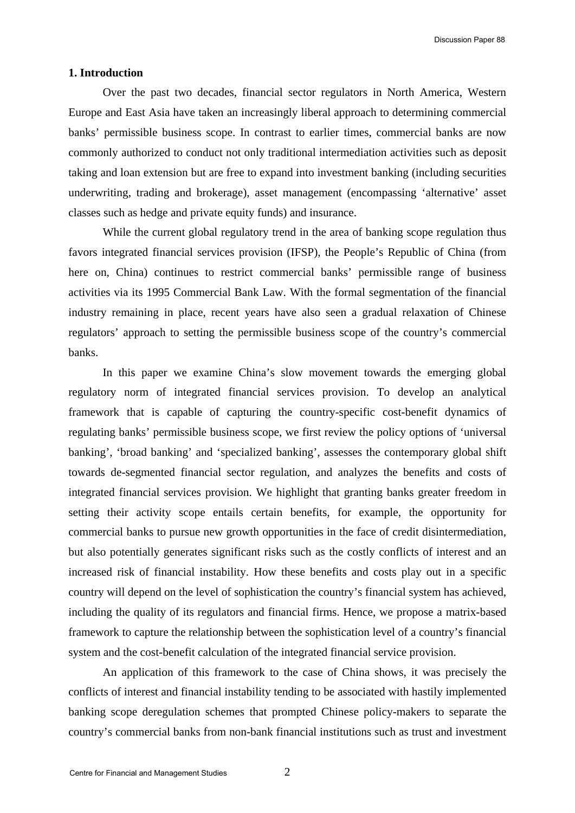### **1. Introduction**

Over the past two decades, financial sector regulators in North America, Western Europe and East Asia have taken an increasingly liberal approach to determining commercial banks' permissible business scope. In contrast to earlier times, commercial banks are now commonly authorized to conduct not only traditional intermediation activities such as deposit taking and loan extension but are free to expand into investment banking (including securities underwriting, trading and brokerage), asset management (encompassing 'alternative' asset classes such as hedge and private equity funds) and insurance.

While the current global regulatory trend in the area of banking scope regulation thus favors integrated financial services provision (IFSP), the People's Republic of China (from here on, China) continues to restrict commercial banks' permissible range of business activities via its 1995 Commercial Bank Law. With the formal segmentation of the financial industry remaining in place, recent years have also seen a gradual relaxation of Chinese regulators' approach to setting the permissible business scope of the country's commercial banks.

In this paper we examine China's slow movement towards the emerging global regulatory norm of integrated financial services provision. To develop an analytical framework that is capable of capturing the country-specific cost-benefit dynamics of regulating banks' permissible business scope, we first review the policy options of 'universal banking', 'broad banking' and 'specialized banking', assesses the contemporary global shift towards de-segmented financial sector regulation, and analyzes the benefits and costs of integrated financial services provision. We highlight that granting banks greater freedom in setting their activity scope entails certain benefits, for example, the opportunity for commercial banks to pursue new growth opportunities in the face of credit disintermediation, but also potentially generates significant risks such as the costly conflicts of interest and an increased risk of financial instability. How these benefits and costs play out in a specific country will depend on the level of sophistication the country's financial system has achieved, including the quality of its regulators and financial firms. Hence, we propose a matrix-based framework to capture the relationship between the sophistication level of a country's financial system and the cost-benefit calculation of the integrated financial service provision.

An application of this framework to the case of China shows, it was precisely the conflicts of interest and financial instability tending to be associated with hastily implemented banking scope deregulation schemes that prompted Chinese policy-makers to separate the country's commercial banks from non-bank financial institutions such as trust and investment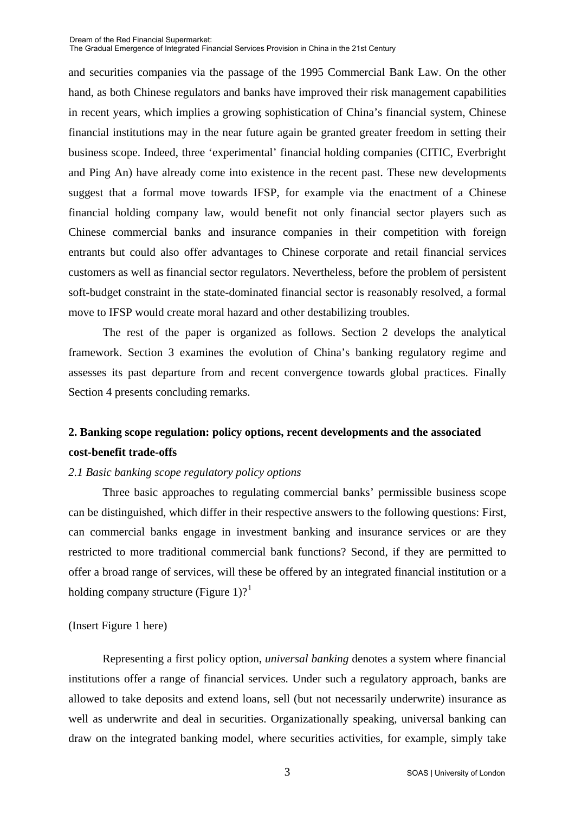and securities companies via the passage of the 1995 Commercial Bank Law. On the other hand, as both Chinese regulators and banks have improved their risk management capabilities in recent years, which implies a growing sophistication of China's financial system, Chinese financial institutions may in the near future again be granted greater freedom in setting their business scope. Indeed, three 'experimental' financial holding companies (CITIC, Everbright and Ping An) have already come into existence in the recent past. These new developments suggest that a formal move towards IFSP, for example via the enactment of a Chinese financial holding company law, would benefit not only financial sector players such as Chinese commercial banks and insurance companies in their competition with foreign entrants but could also offer advantages to Chinese corporate and retail financial services customers as well as financial sector regulators. Nevertheless, before the problem of persistent soft-budget constraint in the state-dominated financial sector is reasonably resolved, a formal move to IFSP would create moral hazard and other destabilizing troubles.

The rest of the paper is organized as follows. Section 2 develops the analytical framework. Section 3 examines the evolution of China's banking regulatory regime and assesses its past departure from and recent convergence towards global practices. Finally Section 4 presents concluding remarks.

## **2. Banking scope regulation: policy options, recent developments and the associated cost-benefit trade-offs**

## *2.1 Basic banking scope regulatory policy options*

 Three basic approaches to regulating commercial banks' permissible business scope can be distinguished, which differ in their respective answers to the following questions: First, can commercial banks engage in investment banking and insurance services or are they restricted to more traditional commercial bank functions? Second, if they are permitted to offer a broad range of services, will these be offered by an integrated financial institution or a holding company structure (Figure [1](#page-29-0))?<sup>1</sup>

### (Insert Figure 1 here)

Representing a first policy option, *universal banking* denotes a system where financial institutions offer a range of financial services. Under such a regulatory approach, banks are allowed to take deposits and extend loans, sell (but not necessarily underwrite) insurance as well as underwrite and deal in securities. Organizationally speaking, universal banking can draw on the integrated banking model, where securities activities, for example, simply take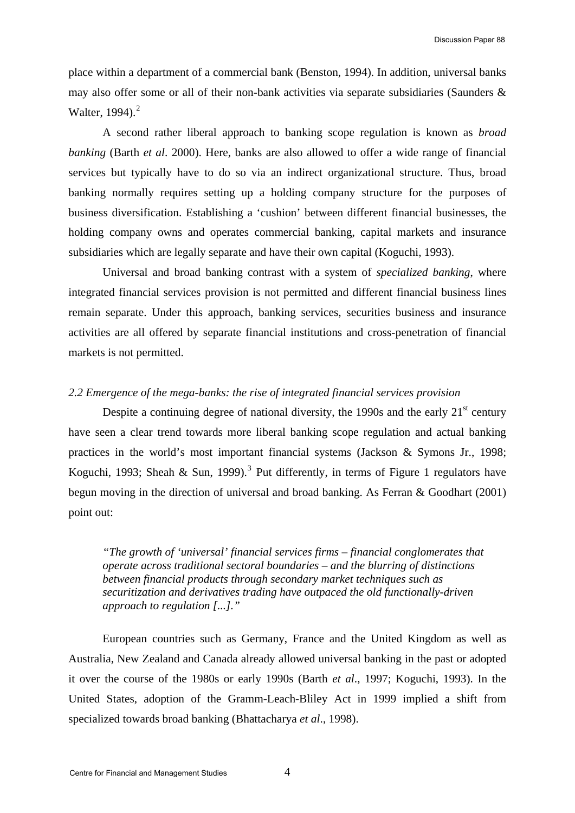place within a department of a commercial bank (Benston, 1994). In addition, universal banks may also offer some or all of their non-bank activities via separate subsidiaries (Saunders  $\&$ Walter, 1994). $^2$  $^2$ 

A second rather liberal approach to banking scope regulation is known as *broad banking* (Barth *et al*. 2000). Here, banks are also allowed to offer a wide range of financial services but typically have to do so via an indirect organizational structure. Thus, broad banking normally requires setting up a holding company structure for the purposes of business diversification. Establishing a 'cushion' between different financial businesses, the holding company owns and operates commercial banking, capital markets and insurance subsidiaries which are legally separate and have their own capital (Koguchi, 1993).

Universal and broad banking contrast with a system of *specialized banking*, where integrated financial services provision is not permitted and different financial business lines remain separate. Under this approach, banking services, securities business and insurance activities are all offered by separate financial institutions and cross-penetration of financial markets is not permitted.

### *2.2 Emergence of the mega-banks: the rise of integrated financial services provision*

Despite a continuing degree of national diversity, the 1990s and the early  $21<sup>st</sup>$  century have seen a clear trend towards more liberal banking scope regulation and actual banking practices in the world's most important financial systems (Jackson & Symons Jr., 1998; Koguchi, 199[3](#page-29-1); Sheah & Sun, 1999).<sup>3</sup> Put differently, in terms of Figure 1 regulators have begun moving in the direction of universal and broad banking. As Ferran & Goodhart (2001) point out:

*"The growth of 'universal' financial services firms – financial conglomerates that operate across traditional sectoral boundaries – and the blurring of distinctions between financial products through secondary market techniques such as securitization and derivatives trading have outpaced the old functionally-driven approach to regulation [...]."* 

European countries such as Germany, France and the United Kingdom as well as Australia, New Zealand and Canada already allowed universal banking in the past or adopted it over the course of the 1980s or early 1990s (Barth *et al*., 1997; Koguchi, 1993). In the United States, adoption of the Gramm-Leach-Bliley Act in 1999 implied a shift from specialized towards broad banking (Bhattacharya *et al*., 1998).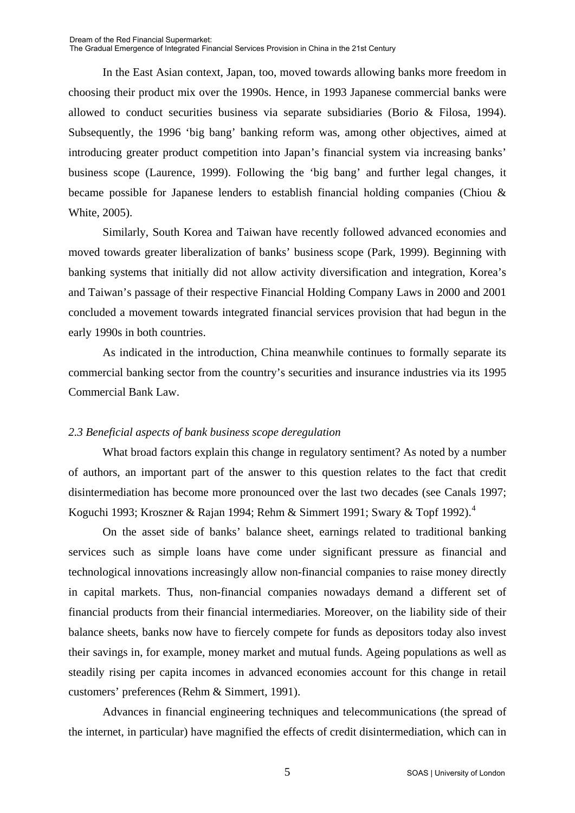In the East Asian context, Japan, too, moved towards allowing banks more freedom in choosing their product mix over the 1990s. Hence, in 1993 Japanese commercial banks were allowed to conduct securities business via separate subsidiaries (Borio & Filosa, 1994). Subsequently, the 1996 'big bang' banking reform was, among other objectives, aimed at introducing greater product competition into Japan's financial system via increasing banks' business scope (Laurence, 1999). Following the 'big bang' and further legal changes, it became possible for Japanese lenders to establish financial holding companies (Chiou & White, 2005).

Similarly, South Korea and Taiwan have recently followed advanced economies and moved towards greater liberalization of banks' business scope (Park, 1999). Beginning with banking systems that initially did not allow activity diversification and integration, Korea's and Taiwan's passage of their respective Financial Holding Company Laws in 2000 and 2001 concluded a movement towards integrated financial services provision that had begun in the early 1990s in both countries.

As indicated in the introduction, China meanwhile continues to formally separate its commercial banking sector from the country's securities and insurance industries via its 1995 Commercial Bank Law.

## *2.3 Beneficial aspects of bank business scope deregulation*

What broad factors explain this change in regulatory sentiment? As noted by a number of authors, an important part of the answer to this question relates to the fact that credit disintermediation has become more pronounced over the last two decades (see Canals 1997; Koguchi 1993; Kroszner & Rajan 199[4](#page-29-1); Rehm & Simmert 1991; Swary & Topf 1992).<sup>4</sup>

On the asset side of banks' balance sheet, earnings related to traditional banking services such as simple loans have come under significant pressure as financial and technological innovations increasingly allow non-financial companies to raise money directly in capital markets. Thus, non-financial companies nowadays demand a different set of financial products from their financial intermediaries. Moreover, on the liability side of their balance sheets, banks now have to fiercely compete for funds as depositors today also invest their savings in, for example, money market and mutual funds. Ageing populations as well as steadily rising per capita incomes in advanced economies account for this change in retail customers' preferences (Rehm & Simmert, 1991).

Advances in financial engineering techniques and telecommunications (the spread of the internet, in particular) have magnified the effects of credit disintermediation, which can in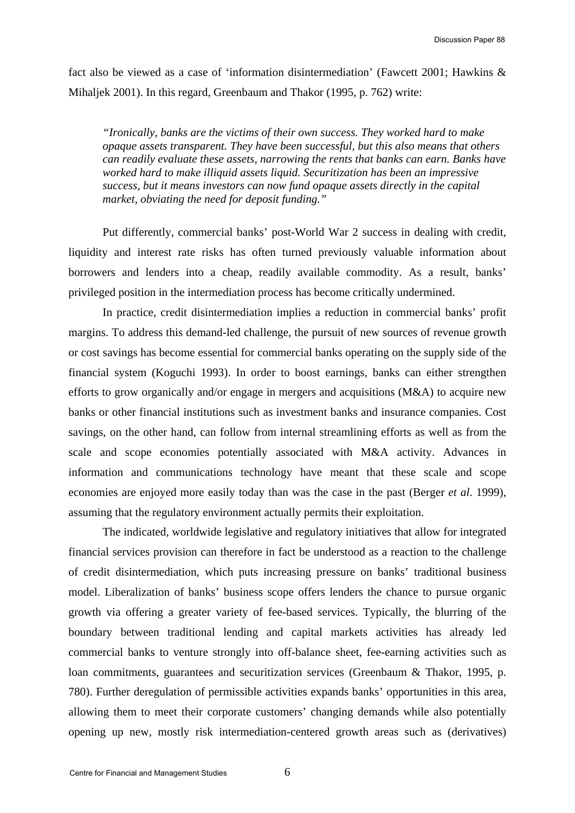fact also be viewed as a case of 'information disintermediation' (Fawcett 2001; Hawkins & Mihaljek 2001). In this regard, Greenbaum and Thakor (1995, p. 762) write:

*"Ironically, banks are the victims of their own success. They worked hard to make opaque assets transparent. They have been successful, but this also means that others can readily evaluate these assets, narrowing the rents that banks can earn. Banks have worked hard to make illiquid assets liquid. Securitization has been an impressive success, but it means investors can now fund opaque assets directly in the capital market, obviating the need for deposit funding."* 

Put differently, commercial banks' post-World War 2 success in dealing with credit, liquidity and interest rate risks has often turned previously valuable information about borrowers and lenders into a cheap, readily available commodity. As a result, banks' privileged position in the intermediation process has become critically undermined.

In practice, credit disintermediation implies a reduction in commercial banks' profit margins. To address this demand-led challenge, the pursuit of new sources of revenue growth or cost savings has become essential for commercial banks operating on the supply side of the financial system (Koguchi 1993). In order to boost earnings, banks can either strengthen efforts to grow organically and/or engage in mergers and acquisitions (M&A) to acquire new banks or other financial institutions such as investment banks and insurance companies. Cost savings, on the other hand, can follow from internal streamlining efforts as well as from the scale and scope economies potentially associated with M&A activity. Advances in information and communications technology have meant that these scale and scope economies are enjoyed more easily today than was the case in the past (Berger *et al*. 1999), assuming that the regulatory environment actually permits their exploitation.

The indicated, worldwide legislative and regulatory initiatives that allow for integrated financial services provision can therefore in fact be understood as a reaction to the challenge of credit disintermediation, which puts increasing pressure on banks' traditional business model. Liberalization of banks' business scope offers lenders the chance to pursue organic growth via offering a greater variety of fee-based services. Typically, the blurring of the boundary between traditional lending and capital markets activities has already led commercial banks to venture strongly into off-balance sheet, fee-earning activities such as loan commitments, guarantees and securitization services (Greenbaum & Thakor, 1995, p. 780). Further deregulation of permissible activities expands banks' opportunities in this area, allowing them to meet their corporate customers' changing demands while also potentially opening up new, mostly risk intermediation-centered growth areas such as (derivatives)

6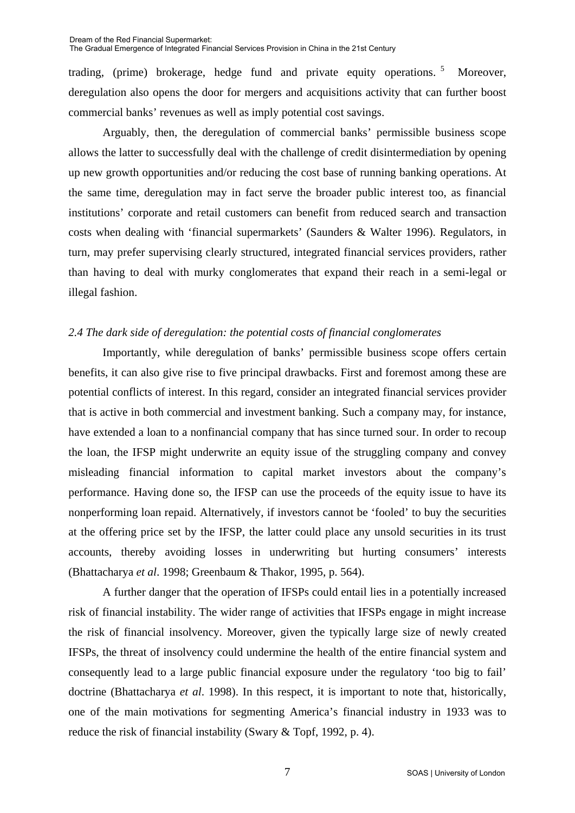trading, (prime) brokerage, hedge fund and private equity operations.  $5$  Moreover, deregulation also opens the door for mergers and acquisitions activity that can further boost commercial banks' revenues as well as imply potential cost savings.

Arguably, then, the deregulation of commercial banks' permissible business scope allows the latter to successfully deal with the challenge of credit disintermediation by opening up new growth opportunities and/or reducing the cost base of running banking operations. At the same time, deregulation may in fact serve the broader public interest too, as financial institutions' corporate and retail customers can benefit from reduced search and transaction costs when dealing with 'financial supermarkets' (Saunders & Walter 1996). Regulators, in turn, may prefer supervising clearly structured, integrated financial services providers, rather than having to deal with murky conglomerates that expand their reach in a semi-legal or illegal fashion.

### *2.4 The dark side of deregulation: the potential costs of financial conglomerates*

Importantly, while deregulation of banks' permissible business scope offers certain benefits, it can also give rise to five principal drawbacks. First and foremost among these are potential conflicts of interest. In this regard, consider an integrated financial services provider that is active in both commercial and investment banking. Such a company may, for instance, have extended a loan to a nonfinancial company that has since turned sour. In order to recoup the loan, the IFSP might underwrite an equity issue of the struggling company and convey misleading financial information to capital market investors about the company's performance. Having done so, the IFSP can use the proceeds of the equity issue to have its nonperforming loan repaid. Alternatively, if investors cannot be 'fooled' to buy the securities at the offering price set by the IFSP, the latter could place any unsold securities in its trust accounts, thereby avoiding losses in underwriting but hurting consumers' interests (Bhattacharya *et al*. 1998; Greenbaum & Thakor, 1995, p. 564).

A further danger that the operation of IFSPs could entail lies in a potentially increased risk of financial instability. The wider range of activities that IFSPs engage in might increase the risk of financial insolvency. Moreover, given the typically large size of newly created IFSPs, the threat of insolvency could undermine the health of the entire financial system and consequently lead to a large public financial exposure under the regulatory 'too big to fail' doctrine (Bhattacharya *et al*. 1998). In this respect, it is important to note that, historically, one of the main motivations for segmenting America's financial industry in 1933 was to reduce the risk of financial instability (Swary & Topf, 1992, p. 4).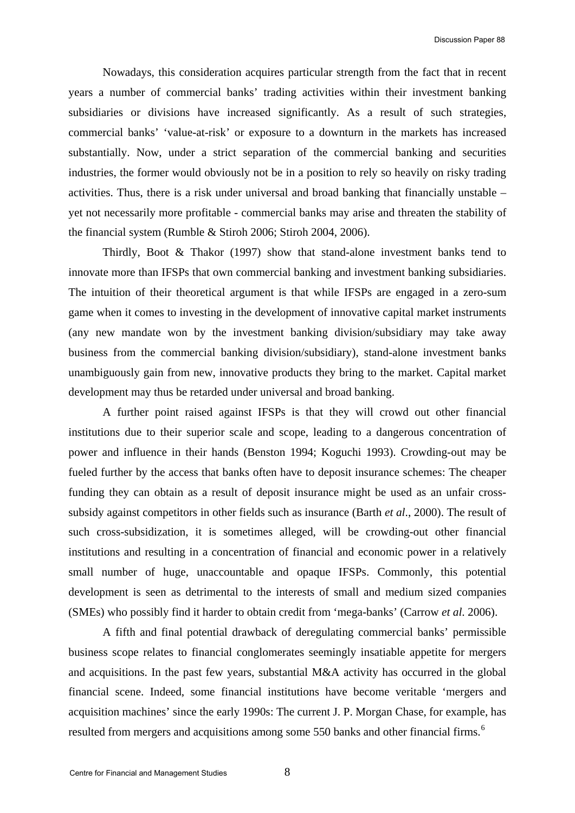Nowadays, this consideration acquires particular strength from the fact that in recent years a number of commercial banks' trading activities within their investment banking subsidiaries or divisions have increased significantly. As a result of such strategies, commercial banks' 'value-at-risk' or exposure to a downturn in the markets has increased substantially. Now, under a strict separation of the commercial banking and securities industries, the former would obviously not be in a position to rely so heavily on risky trading activities. Thus, there is a risk under universal and broad banking that financially unstable – yet not necessarily more profitable - commercial banks may arise and threaten the stability of the financial system (Rumble & Stiroh 2006; Stiroh 2004, 2006).

Thirdly, Boot & Thakor (1997) show that stand-alone investment banks tend to innovate more than IFSPs that own commercial banking and investment banking subsidiaries. The intuition of their theoretical argument is that while IFSPs are engaged in a zero-sum game when it comes to investing in the development of innovative capital market instruments (any new mandate won by the investment banking division/subsidiary may take away business from the commercial banking division/subsidiary), stand-alone investment banks unambiguously gain from new, innovative products they bring to the market. Capital market development may thus be retarded under universal and broad banking.

A further point raised against IFSPs is that they will crowd out other financial institutions due to their superior scale and scope, leading to a dangerous concentration of power and influence in their hands (Benston 1994; Koguchi 1993). Crowding-out may be fueled further by the access that banks often have to deposit insurance schemes: The cheaper funding they can obtain as a result of deposit insurance might be used as an unfair crosssubsidy against competitors in other fields such as insurance (Barth *et al*., 2000). The result of such cross-subsidization, it is sometimes alleged, will be crowding-out other financial institutions and resulting in a concentration of financial and economic power in a relatively small number of huge, unaccountable and opaque IFSPs. Commonly, this potential development is seen as detrimental to the interests of small and medium sized companies (SMEs) who possibly find it harder to obtain credit from 'mega-banks' (Carrow *et al*. 2006).

A fifth and final potential drawback of deregulating commercial banks' permissible business scope relates to financial conglomerates seemingly insatiable appetite for mergers and acquisitions. In the past few years, substantial M&A activity has occurred in the global financial scene. Indeed, some financial institutions have become veritable 'mergers and acquisition machines' since the early 1990s: The current J. P. Morgan Chase, for example, has resulted from mergers and acquisitions among some 550 banks and other financial firms.<sup>[6](#page-29-1)</sup>

8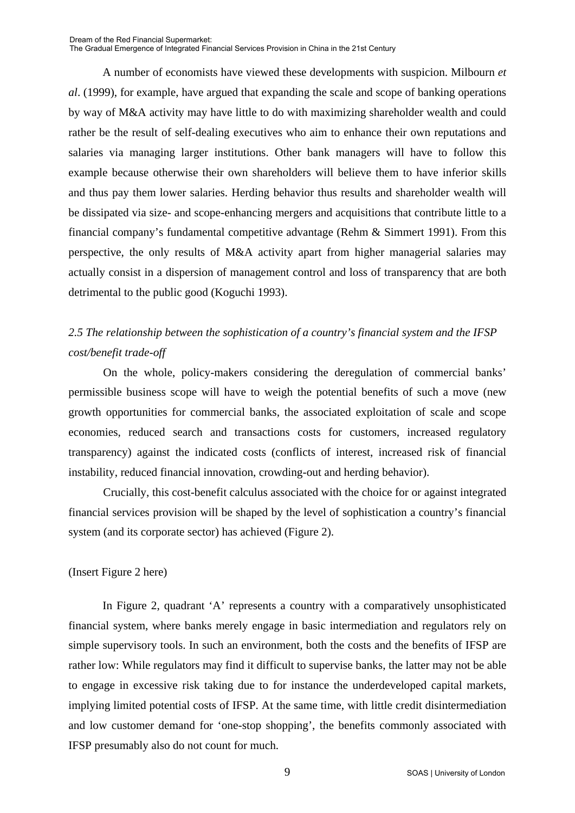A number of economists have viewed these developments with suspicion. Milbourn *et al*. (1999), for example, have argued that expanding the scale and scope of banking operations by way of M&A activity may have little to do with maximizing shareholder wealth and could rather be the result of self-dealing executives who aim to enhance their own reputations and salaries via managing larger institutions. Other bank managers will have to follow this example because otherwise their own shareholders will believe them to have inferior skills and thus pay them lower salaries. Herding behavior thus results and shareholder wealth will be dissipated via size- and scope-enhancing mergers and acquisitions that contribute little to a financial company's fundamental competitive advantage (Rehm & Simmert 1991). From this perspective, the only results of M&A activity apart from higher managerial salaries may actually consist in a dispersion of management control and loss of transparency that are both detrimental to the public good (Koguchi 1993).

# *2.5 The relationship between the sophistication of a country's financial system and the IFSP cost/benefit trade-off*

On the whole, policy-makers considering the deregulation of commercial banks' permissible business scope will have to weigh the potential benefits of such a move (new growth opportunities for commercial banks, the associated exploitation of scale and scope economies, reduced search and transactions costs for customers, increased regulatory transparency) against the indicated costs (conflicts of interest, increased risk of financial instability, reduced financial innovation, crowding-out and herding behavior).

Crucially, this cost-benefit calculus associated with the choice for or against integrated financial services provision will be shaped by the level of sophistication a country's financial system (and its corporate sector) has achieved (Figure 2).

## (Insert Figure 2 here)

 In Figure 2, quadrant 'A' represents a country with a comparatively unsophisticated financial system, where banks merely engage in basic intermediation and regulators rely on simple supervisory tools. In such an environment, both the costs and the benefits of IFSP are rather low: While regulators may find it difficult to supervise banks, the latter may not be able to engage in excessive risk taking due to for instance the underdeveloped capital markets, implying limited potential costs of IFSP. At the same time, with little credit disintermediation and low customer demand for 'one-stop shopping', the benefits commonly associated with IFSP presumably also do not count for much.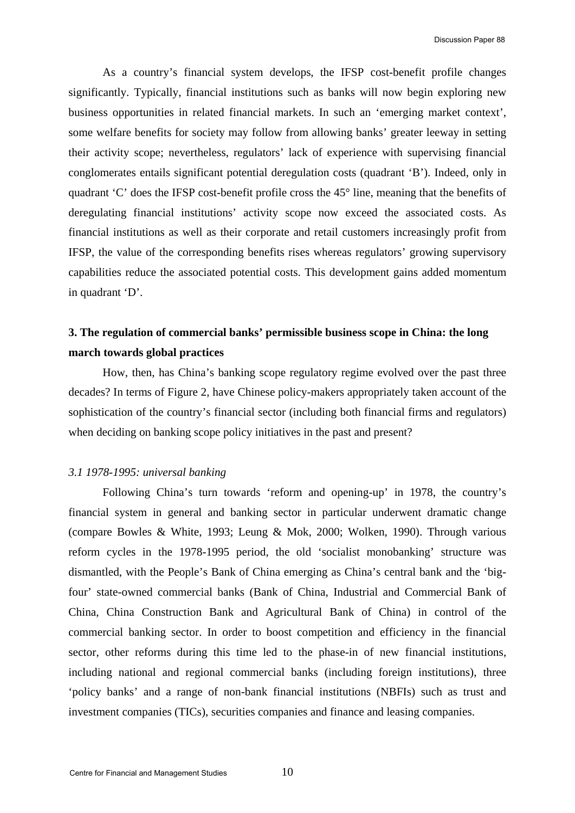As a country's financial system develops, the IFSP cost-benefit profile changes significantly. Typically, financial institutions such as banks will now begin exploring new business opportunities in related financial markets. In such an 'emerging market context', some welfare benefits for society may follow from allowing banks' greater leeway in setting their activity scope; nevertheless, regulators' lack of experience with supervising financial conglomerates entails significant potential deregulation costs (quadrant 'B'). Indeed, only in quadrant 'C' does the IFSP cost-benefit profile cross the 45° line, meaning that the benefits of deregulating financial institutions' activity scope now exceed the associated costs. As financial institutions as well as their corporate and retail customers increasingly profit from IFSP, the value of the corresponding benefits rises whereas regulators' growing supervisory capabilities reduce the associated potential costs. This development gains added momentum in quadrant 'D'.

## **3. The regulation of commercial banks' permissible business scope in China: the long march towards global practices**

How, then, has China's banking scope regulatory regime evolved over the past three decades? In terms of Figure 2, have Chinese policy-makers appropriately taken account of the sophistication of the country's financial sector (including both financial firms and regulators) when deciding on banking scope policy initiatives in the past and present?

### *3.1 1978-1995: universal banking*

Following China's turn towards 'reform and opening-up' in 1978, the country's financial system in general and banking sector in particular underwent dramatic change (compare Bowles & White, 1993; Leung & Mok, 2000; Wolken, 1990). Through various reform cycles in the 1978-1995 period, the old 'socialist monobanking' structure was dismantled, with the People's Bank of China emerging as China's central bank and the 'bigfour' state-owned commercial banks (Bank of China, Industrial and Commercial Bank of China, China Construction Bank and Agricultural Bank of China) in control of the commercial banking sector. In order to boost competition and efficiency in the financial sector, other reforms during this time led to the phase-in of new financial institutions, including national and regional commercial banks (including foreign institutions), three 'policy banks' and a range of non-bank financial institutions (NBFIs) such as trust and investment companies (TICs), securities companies and finance and leasing companies.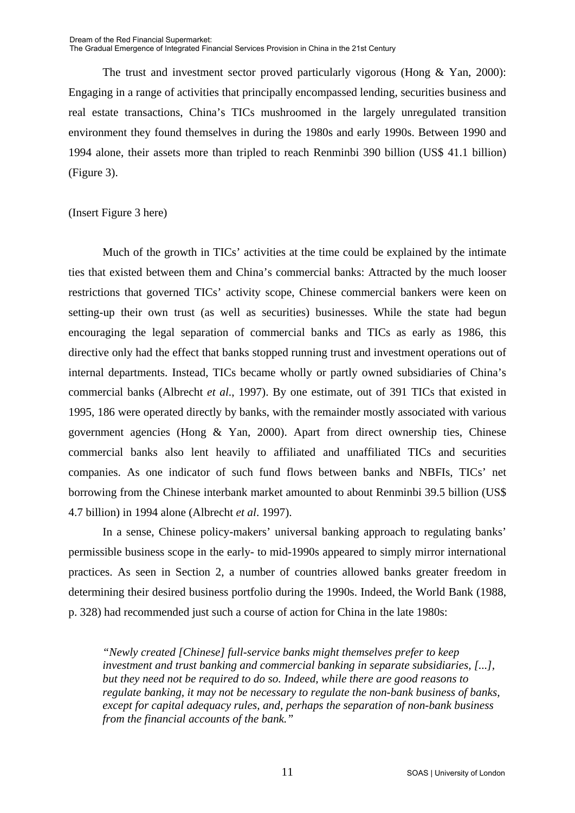The trust and investment sector proved particularly vigorous (Hong  $\&$  Yan, 2000): Engaging in a range of activities that principally encompassed lending, securities business and real estate transactions, China's TICs mushroomed in the largely unregulated transition environment they found themselves in during the 1980s and early 1990s. Between 1990 and 1994 alone, their assets more than tripled to reach Renminbi 390 billion (US\$ 41.1 billion) (Figure 3).

(Insert Figure 3 here)

Much of the growth in TICs' activities at the time could be explained by the intimate ties that existed between them and China's commercial banks: Attracted by the much looser restrictions that governed TICs' activity scope, Chinese commercial bankers were keen on setting-up their own trust (as well as securities) businesses. While the state had begun encouraging the legal separation of commercial banks and TICs as early as 1986, this directive only had the effect that banks stopped running trust and investment operations out of internal departments. Instead, TICs became wholly or partly owned subsidiaries of China's commercial banks (Albrecht *et al*., 1997). By one estimate, out of 391 TICs that existed in 1995, 186 were operated directly by banks, with the remainder mostly associated with various government agencies (Hong & Yan, 2000). Apart from direct ownership ties, Chinese commercial banks also lent heavily to affiliated and unaffiliated TICs and securities companies. As one indicator of such fund flows between banks and NBFIs, TICs' net borrowing from the Chinese interbank market amounted to about Renminbi 39.5 billion (US\$ 4.7 billion) in 1994 alone (Albrecht *et al*. 1997).

In a sense, Chinese policy-makers' universal banking approach to regulating banks' permissible business scope in the early- to mid-1990s appeared to simply mirror international practices. As seen in Section 2, a number of countries allowed banks greater freedom in determining their desired business portfolio during the 1990s. Indeed, the World Bank (1988, p. 328) had recommended just such a course of action for China in the late 1980s:

*"Newly created [Chinese] full-service banks might themselves prefer to keep investment and trust banking and commercial banking in separate subsidiaries, [...], but they need not be required to do so. Indeed, while there are good reasons to regulate banking, it may not be necessary to regulate the non-bank business of banks, except for capital adequacy rules, and, perhaps the separation of non-bank business from the financial accounts of the bank."*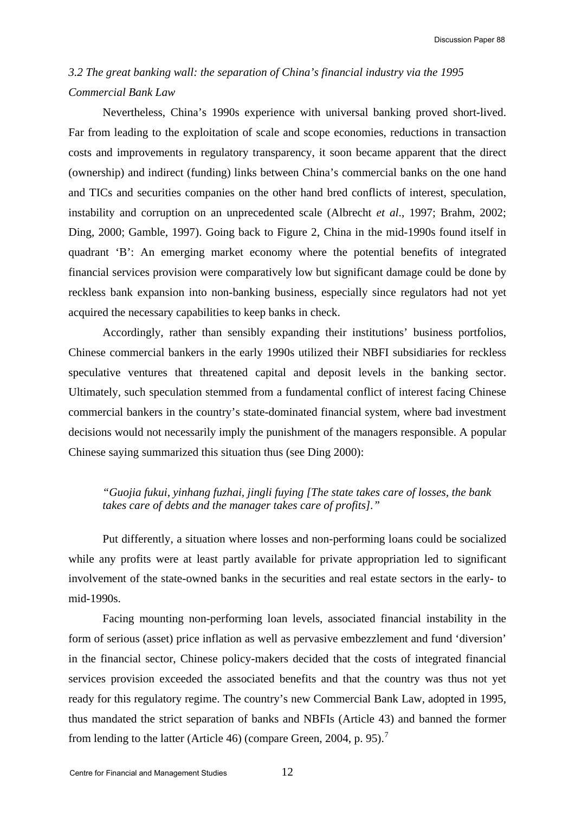# *3.2 The great banking wall: the separation of China's financial industry via the 1995 Commercial Bank Law*

Nevertheless, China's 1990s experience with universal banking proved short-lived. Far from leading to the exploitation of scale and scope economies, reductions in transaction costs and improvements in regulatory transparency, it soon became apparent that the direct (ownership) and indirect (funding) links between China's commercial banks on the one hand and TICs and securities companies on the other hand bred conflicts of interest, speculation, instability and corruption on an unprecedented scale (Albrecht *et al*., 1997; Brahm, 2002; Ding, 2000; Gamble, 1997). Going back to Figure 2, China in the mid-1990s found itself in quadrant 'B': An emerging market economy where the potential benefits of integrated financial services provision were comparatively low but significant damage could be done by reckless bank expansion into non-banking business, especially since regulators had not yet acquired the necessary capabilities to keep banks in check.

Accordingly, rather than sensibly expanding their institutions' business portfolios, Chinese commercial bankers in the early 1990s utilized their NBFI subsidiaries for reckless speculative ventures that threatened capital and deposit levels in the banking sector. Ultimately, such speculation stemmed from a fundamental conflict of interest facing Chinese commercial bankers in the country's state-dominated financial system, where bad investment decisions would not necessarily imply the punishment of the managers responsible. A popular Chinese saying summarized this situation thus (see Ding 2000):

## *"Guojia fukui, yinhang fuzhai, jingli fuying [The state takes care of losses, the bank takes care of debts and the manager takes care of profits]."*

Put differently, a situation where losses and non-performing loans could be socialized while any profits were at least partly available for private appropriation led to significant involvement of the state-owned banks in the securities and real estate sectors in the early- to mid-1990s.

Facing mounting non-performing loan levels, associated financial instability in the form of serious (asset) price inflation as well as pervasive embezzlement and fund 'diversion' in the financial sector, Chinese policy-makers decided that the costs of integrated financial services provision exceeded the associated benefits and that the country was thus not yet ready for this regulatory regime. The country's new Commercial Bank Law, adopted in 1995, thus mandated the strict separation of banks and NBFIs (Article 43) and banned the former from lending to the latter (Article 46) (compare Green, 2004, p. 95).<sup>[7](#page-29-1)</sup>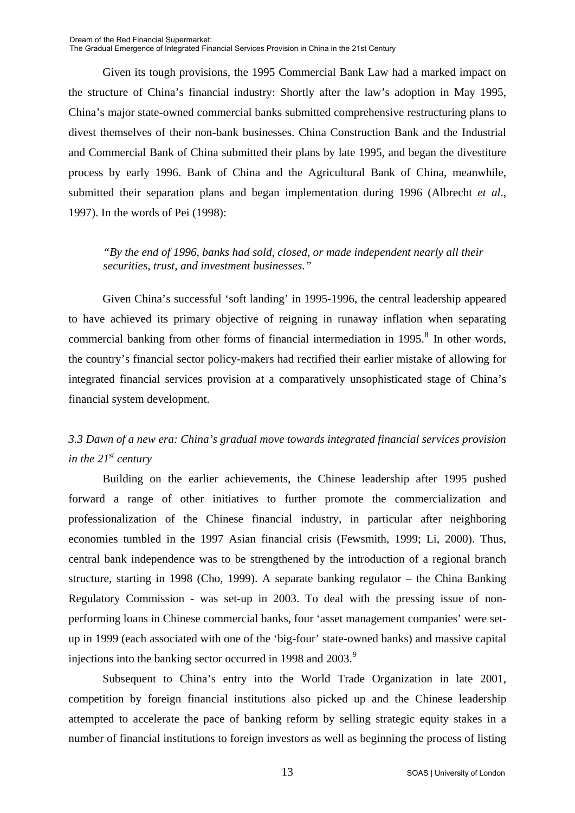Given its tough provisions, the 1995 Commercial Bank Law had a marked impact on the structure of China's financial industry: Shortly after the law's adoption in May 1995, China's major state-owned commercial banks submitted comprehensive restructuring plans to divest themselves of their non-bank businesses. China Construction Bank and the Industrial and Commercial Bank of China submitted their plans by late 1995, and began the divestiture process by early 1996. Bank of China and the Agricultural Bank of China, meanwhile, submitted their separation plans and began implementation during 1996 (Albrecht *et al*., 1997). In the words of Pei (1998):

*"By the end of 1996, banks had sold, closed, or made independent nearly all their securities, trust, and investment businesses."* 

Given China's successful 'soft landing' in 1995-1996, the central leadership appeared to have achieved its primary objective of reigning in runaway inflation when separating commercial banking from other forms of financial intermediation in  $1995$ .<sup>[8](#page-29-1)</sup> In other words, the country's financial sector policy-makers had rectified their earlier mistake of allowing for integrated financial services provision at a comparatively unsophisticated stage of China's financial system development.

# *3.3 Dawn of a new era: China's gradual move towards integrated financial services provision in the 21st century*

Building on the earlier achievements, the Chinese leadership after 1995 pushed forward a range of other initiatives to further promote the commercialization and professionalization of the Chinese financial industry, in particular after neighboring economies tumbled in the 1997 Asian financial crisis (Fewsmith, 1999; Li, 2000). Thus, central bank independence was to be strengthened by the introduction of a regional branch structure, starting in 1998 (Cho, 1999). A separate banking regulator – the China Banking Regulatory Commission - was set-up in 2003. To deal with the pressing issue of nonperforming loans in Chinese commercial banks, four 'asset management companies' were setup in 1999 (each associated with one of the 'big-four' state-owned banks) and massive capital injections into the banking sector occurred in 1[9](#page-29-1)98 and 2003.<sup>9</sup>

Subsequent to China's entry into the World Trade Organization in late 2001, competition by foreign financial institutions also picked up and the Chinese leadership attempted to accelerate the pace of banking reform by selling strategic equity stakes in a number of financial institutions to foreign investors as well as beginning the process of listing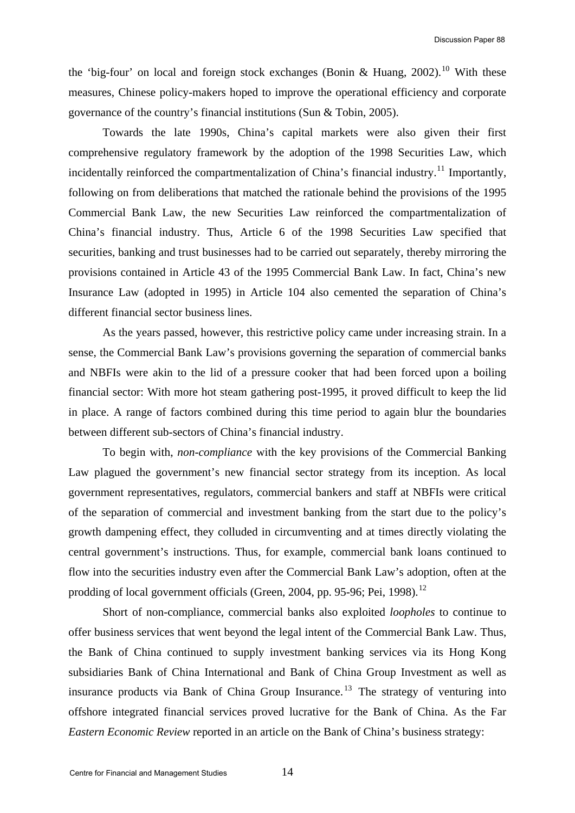the 'big-four' on local and foreign stock exchanges (Bonin & Huang, 2002).<sup>[10](#page-29-1)</sup> With these measures, Chinese policy-makers hoped to improve the operational efficiency and corporate governance of the country's financial institutions (Sun & Tobin, 2005).

Towards the late 1990s, China's capital markets were also given their first comprehensive regulatory framework by the adoption of the 1998 Securities Law, which incidentally reinforced the compartmentalization of China's financial industry.<sup>[11](#page-29-1)</sup> Importantly, following on from deliberations that matched the rationale behind the provisions of the 1995 Commercial Bank Law, the new Securities Law reinforced the compartmentalization of China's financial industry. Thus, Article 6 of the 1998 Securities Law specified that securities, banking and trust businesses had to be carried out separately, thereby mirroring the provisions contained in Article 43 of the 1995 Commercial Bank Law. In fact, China's new Insurance Law (adopted in 1995) in Article 104 also cemented the separation of China's different financial sector business lines.

As the years passed, however, this restrictive policy came under increasing strain. In a sense, the Commercial Bank Law's provisions governing the separation of commercial banks and NBFIs were akin to the lid of a pressure cooker that had been forced upon a boiling financial sector: With more hot steam gathering post-1995, it proved difficult to keep the lid in place. A range of factors combined during this time period to again blur the boundaries between different sub-sectors of China's financial industry.

To begin with, *non-compliance* with the key provisions of the Commercial Banking Law plagued the government's new financial sector strategy from its inception. As local government representatives, regulators, commercial bankers and staff at NBFIs were critical of the separation of commercial and investment banking from the start due to the policy's growth dampening effect, they colluded in circumventing and at times directly violating the central government's instructions. Thus, for example, commercial bank loans continued to flow into the securities industry even after the Commercial Bank Law's adoption, often at the prodding of local government officials (Green, 2004, pp. 95-96; Pei, 1998).<sup>[12](#page-29-1)</sup>

Short of non-compliance, commercial banks also exploited *loopholes* to continue to offer business services that went beyond the legal intent of the Commercial Bank Law. Thus, the Bank of China continued to supply investment banking services via its Hong Kong subsidiaries Bank of China International and Bank of China Group Investment as well as insurance products via Bank of China Group Insurance.<sup>[13](#page-29-1)</sup> The strategy of venturing into offshore integrated financial services proved lucrative for the Bank of China. As the Far *Eastern Economic Review* reported in an article on the Bank of China's business strategy: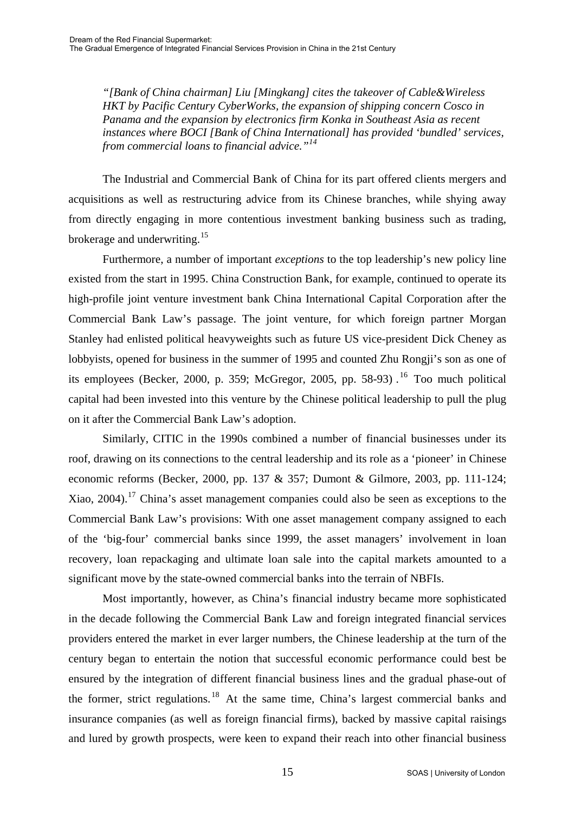*"[Bank of China chairman] Liu [Mingkang] cites the takeover of Cable&Wireless HKT by Pacific Century CyberWorks, the expansion of shipping concern Cosco in Panama and the expansion by electronics firm Konka in Southeast Asia as recent instances where BOCI [Bank of China International] has provided 'bundled' services, from commercial loans to financial advice."[14](#page-29-1)* 

The Industrial and Commercial Bank of China for its part offered clients mergers and acquisitions as well as restructuring advice from its Chinese branches, while shying away from directly engaging in more contentious investment banking business such as trading, brokerage and underwriting.<sup>[15](#page-29-1)</sup>

Furthermore, a number of important *exceptions* to the top leadership's new policy line existed from the start in 1995. China Construction Bank, for example, continued to operate its high-profile joint venture investment bank China International Capital Corporation after the Commercial Bank Law's passage. The joint venture, for which foreign partner Morgan Stanley had enlisted political heavyweights such as future US vice-president Dick Cheney as lobbyists, opened for business in the summer of 1995 and counted Zhu Rongji's son as one of its employees (Becker, 2000, p. 359; McGregor, 2005, pp. 58-93).<sup>[16](#page-29-1)</sup> Too much political capital had been invested into this venture by the Chinese political leadership to pull the plug on it after the Commercial Bank Law's adoption.

Similarly, CITIC in the 1990s combined a number of financial businesses under its roof, drawing on its connections to the central leadership and its role as a 'pioneer' in Chinese economic reforms (Becker, 2000, pp. 137 & 357; Dumont & Gilmore, 2003, pp. 111-124; Xiao, 2004).<sup>[17](#page-29-1)</sup> China's asset management companies could also be seen as exceptions to the Commercial Bank Law's provisions: With one asset management company assigned to each of the 'big-four' commercial banks since 1999, the asset managers' involvement in loan recovery, loan repackaging and ultimate loan sale into the capital markets amounted to a significant move by the state-owned commercial banks into the terrain of NBFIs.

Most importantly, however, as China's financial industry became more sophisticated in the decade following the Commercial Bank Law and foreign integrated financial services providers entered the market in ever larger numbers, the Chinese leadership at the turn of the century began to entertain the notion that successful economic performance could best be ensured by the integration of different financial business lines and the gradual phase-out of the former, strict regulations. <sup>[18](#page-29-1)</sup> At the same time, China's largest commercial banks and insurance companies (as well as foreign financial firms), backed by massive capital raisings and lured by growth prospects, were keen to expand their reach into other financial business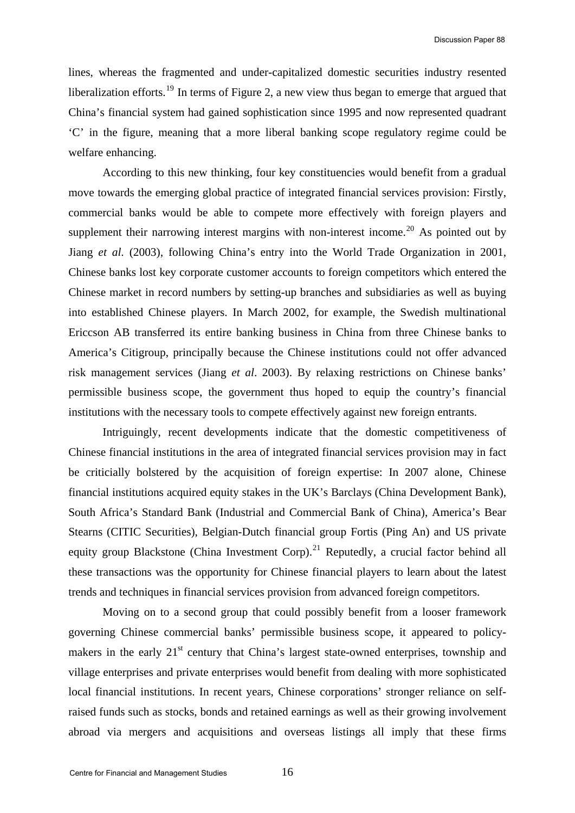lines, whereas the fragmented and under-capitalized domestic securities industry resented liberalization efforts.<sup>[19](#page-29-1)</sup> In terms of Figure 2, a new view thus began to emerge that argued that China's financial system had gained sophistication since 1995 and now represented quadrant 'C' in the figure, meaning that a more liberal banking scope regulatory regime could be welfare enhancing.

According to this new thinking, four key constituencies would benefit from a gradual move towards the emerging global practice of integrated financial services provision: Firstly, commercial banks would be able to compete more effectively with foreign players and supplement their narrowing interest margins with non-interest income.<sup>[20](#page-29-1)</sup> As pointed out by Jiang *et al*. (2003), following China's entry into the World Trade Organization in 2001, Chinese banks lost key corporate customer accounts to foreign competitors which entered the Chinese market in record numbers by setting-up branches and subsidiaries as well as buying into established Chinese players. In March 2002, for example, the Swedish multinational Ericcson AB transferred its entire banking business in China from three Chinese banks to America's Citigroup, principally because the Chinese institutions could not offer advanced risk management services (Jiang *et al*. 2003). By relaxing restrictions on Chinese banks' permissible business scope, the government thus hoped to equip the country's financial institutions with the necessary tools to compete effectively against new foreign entrants.

Intriguingly, recent developments indicate that the domestic competitiveness of Chinese financial institutions in the area of integrated financial services provision may in fact be criticially bolstered by the acquisition of foreign expertise: In 2007 alone, Chinese financial institutions acquired equity stakes in the UK's Barclays (China Development Bank), South Africa's Standard Bank (Industrial and Commercial Bank of China), America's Bear Stearns (CITIC Securities), Belgian-Dutch financial group Fortis (Ping An) and US private equity group Blackstone (China Investment Corp).<sup>[21](#page-29-1)</sup> Reputedly, a crucial factor behind all these transactions was the opportunity for Chinese financial players to learn about the latest trends and techniques in financial services provision from advanced foreign competitors.

Moving on to a second group that could possibly benefit from a looser framework governing Chinese commercial banks' permissible business scope, it appeared to policymakers in the early  $21<sup>st</sup>$  century that China's largest state-owned enterprises, township and village enterprises and private enterprises would benefit from dealing with more sophisticated local financial institutions. In recent years, Chinese corporations' stronger reliance on selfraised funds such as stocks, bonds and retained earnings as well as their growing involvement abroad via mergers and acquisitions and overseas listings all imply that these firms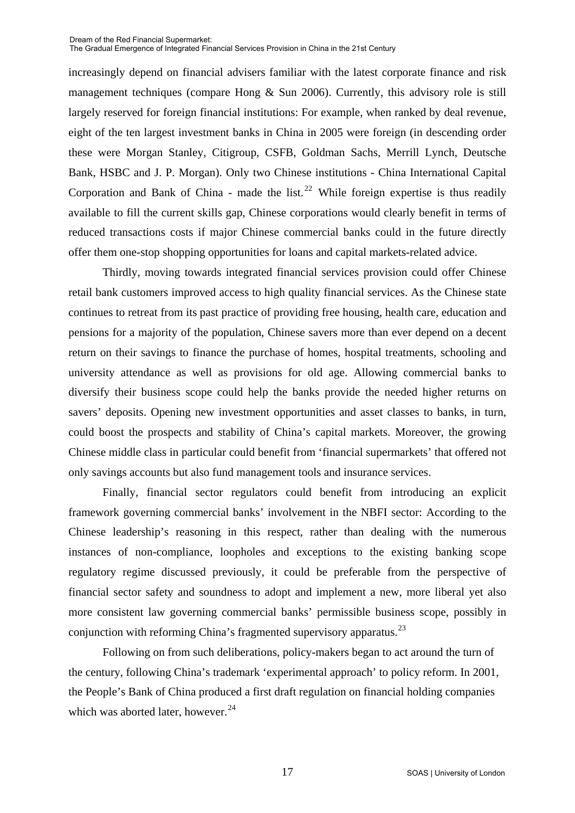increasingly depend on financial advisers familiar with the latest corporate finance and risk management techniques (compare Hong & Sun 2006). Currently, this advisory role is still largely reserved for foreign financial institutions: For example, when ranked by deal revenue, eight of the ten largest investment banks in China in 2005 were foreign (in descending order these were Morgan Stanley, Citigroup, CSFB, Goldman Sachs, Merrill Lynch, Deutsche Bank, HSBC and J. P. Morgan). Only two Chinese institutions - China International Capital Corporation and Bank of China - made the list.<sup>[22](#page-29-1)</sup> While foreign expertise is thus readily available to fill the current skills gap, Chinese corporations would clearly benefit in terms of reduced transactions costs if major Chinese commercial banks could in the future directly offer them one-stop shopping opportunities for loans and capital markets-related advice.

Thirdly, moving towards integrated financial services provision could offer Chinese retail bank customers improved access to high quality financial services. As the Chinese state continues to retreat from its past practice of providing free housing, health care, education and pensions for a majority of the population, Chinese savers more than ever depend on a decent return on their savings to finance the purchase of homes, hospital treatments, schooling and university attendance as well as provisions for old age. Allowing commercial banks to diversify their business scope could help the banks provide the needed higher returns on savers' deposits. Opening new investment opportunities and asset classes to banks, in turn, could boost the prospects and stability of China's capital markets. Moreover, the growing Chinese middle class in particular could benefit from 'financial supermarkets' that offered not only savings accounts but also fund management tools and insurance services.

Finally, financial sector regulators could benefit from introducing an explicit framework governing commercial banks' involvement in the NBFI sector: According to the Chinese leadership's reasoning in this respect, rather than dealing with the numerous instances of non-compliance, loopholes and exceptions to the existing banking scope regulatory regime discussed previously, it could be preferable from the perspective of financial sector safety and soundness to adopt and implement a new, more liberal yet also more consistent law governing commercial banks' permissible business scope, possibly in conjunction with reforming China's fragmented supervisory apparatus.<sup>[23](#page-29-1)</sup>

Following on from such deliberations, policy-makers began to act around the turn of the century, following China's trademark 'experimental approach' to policy reform. In 2001, the People's Bank of China produced a first draft regulation on financial holding companies which was aborted later, however. $24$ 

17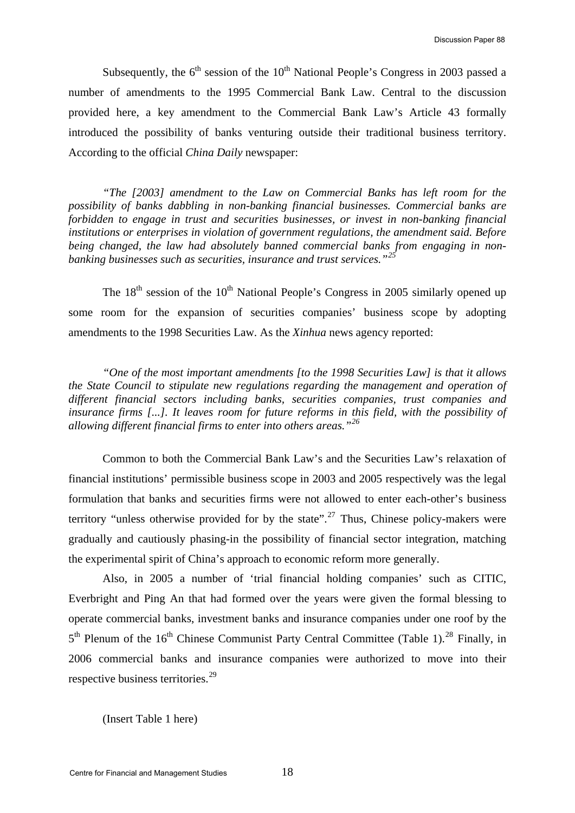Subsequently, the  $6<sup>th</sup>$  session of the  $10<sup>th</sup>$  National People's Congress in 2003 passed a number of amendments to the 1995 Commercial Bank Law. Central to the discussion provided here, a key amendment to the Commercial Bank Law's Article 43 formally introduced the possibility of banks venturing outside their traditional business territory. According to the official *China Daily* newspaper:

*"The [2003] amendment to the Law on Commercial Banks has left room for the possibility of banks dabbling in non-banking financial businesses. Commercial banks are forbidden to engage in trust and securities businesses, or invest in non-banking financial institutions or enterprises in violation of government regulations, the amendment said. Before being changed, the law had absolutely banned commercial banks from engaging in nonbanking businesses such as securities, insurance and trust services."[25](#page-29-1)*

The  $18<sup>th</sup>$  session of the  $10<sup>th</sup>$  National People's Congress in 2005 similarly opened up some room for the expansion of securities companies' business scope by adopting amendments to the 1998 Securities Law. As the *Xinhua* news agency reported:

*"One of the most important amendments [to the 1998 Securities Law] is that it allows the State Council to stipulate new regulations regarding the management and operation of different financial sectors including banks, securities companies, trust companies and insurance firms [...]. It leaves room for future reforms in this field, with the possibility of allowing different financial firms to enter into others areas."[26](#page-29-1)*

Common to both the Commercial Bank Law's and the Securities Law's relaxation of financial institutions' permissible business scope in 2003 and 2005 respectively was the legal formulation that banks and securities firms were not allowed to enter each-other's business territory "unless otherwise provided for by the state".<sup>[27](#page-29-1)</sup> Thus, Chinese policy-makers were gradually and cautiously phasing-in the possibility of financial sector integration, matching the experimental spirit of China's approach to economic reform more generally.

Also, in 2005 a number of 'trial financial holding companies' such as CITIC, Everbright and Ping An that had formed over the years were given the formal blessing to operate commercial banks, investment banks and insurance companies under one roof by the  $5<sup>th</sup>$  Plenum of the 16<sup>th</sup> Chinese Communist Party Central Committee (Table 1).<sup>[28](#page-29-1)</sup> Finally, in 2006 commercial banks and insurance companies were authorized to move into their respective business territories.<sup>[29](#page-29-1)</sup>

(Insert Table 1 here)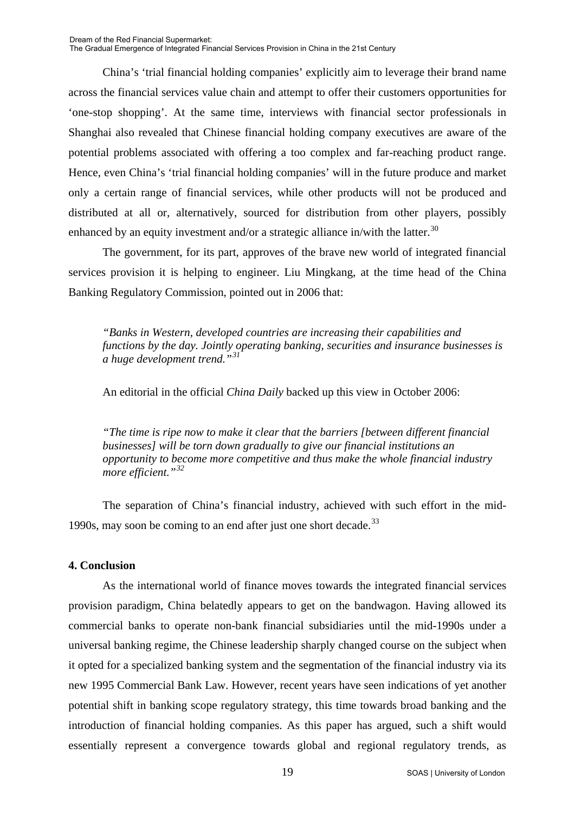China's 'trial financial holding companies' explicitly aim to leverage their brand name across the financial services value chain and attempt to offer their customers opportunities for 'one-stop shopping'. At the same time, interviews with financial sector professionals in Shanghai also revealed that Chinese financial holding company executives are aware of the potential problems associated with offering a too complex and far-reaching product range. Hence, even China's 'trial financial holding companies' will in the future produce and market only a certain range of financial services, while other products will not be produced and distributed at all or, alternatively, sourced for distribution from other players, possibly enhanced by an equity investment and/or a strategic alliance in/with the latter.<sup>[30](#page-29-1)</sup>

The government, for its part, approves of the brave new world of integrated financial services provision it is helping to engineer. Liu Mingkang, at the time head of the China Banking Regulatory Commission, pointed out in 2006 that:

*"Banks in Western, developed countries are increasing their capabilities and functions by the day. Jointly operating banking, securities and insurance businesses is a huge development trend."[31](#page-29-1)*

An editorial in the official *China Daily* backed up this view in October 2006:

*"The time is ripe now to make it clear that the barriers [between different financial businesses] will be torn down gradually to give our financial institutions an opportunity to become more competitive and thus make the whole financial industry more efficient."[32](#page-29-1)*

The separation of China's financial industry, achieved with such effort in the mid-1990s, may soon be coming to an end after just one short decade.<sup>[33](#page-29-1)</sup>

## **4. Conclusion**

As the international world of finance moves towards the integrated financial services provision paradigm, China belatedly appears to get on the bandwagon. Having allowed its commercial banks to operate non-bank financial subsidiaries until the mid-1990s under a universal banking regime, the Chinese leadership sharply changed course on the subject when it opted for a specialized banking system and the segmentation of the financial industry via its new 1995 Commercial Bank Law. However, recent years have seen indications of yet another potential shift in banking scope regulatory strategy, this time towards broad banking and the introduction of financial holding companies. As this paper has argued, such a shift would essentially represent a convergence towards global and regional regulatory trends, as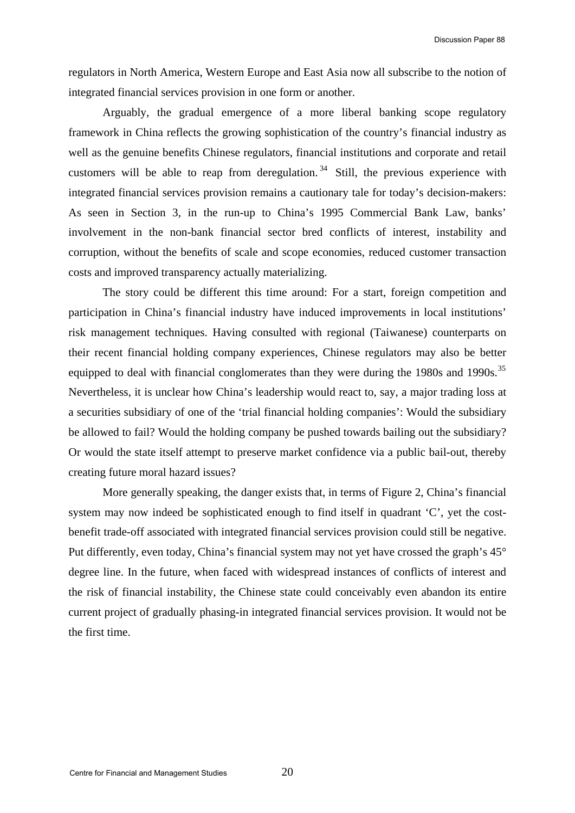regulators in North America, Western Europe and East Asia now all subscribe to the notion of integrated financial services provision in one form or another.

Arguably, the gradual emergence of a more liberal banking scope regulatory framework in China reflects the growing sophistication of the country's financial industry as well as the genuine benefits Chinese regulators, financial institutions and corporate and retail customers will be able to reap from deregulation.<sup>[34](#page-29-1)</sup> Still, the previous experience with integrated financial services provision remains a cautionary tale for today's decision-makers: As seen in Section 3, in the run-up to China's 1995 Commercial Bank Law, banks' involvement in the non-bank financial sector bred conflicts of interest, instability and corruption, without the benefits of scale and scope economies, reduced customer transaction costs and improved transparency actually materializing.

The story could be different this time around: For a start, foreign competition and participation in China's financial industry have induced improvements in local institutions' risk management techniques. Having consulted with regional (Taiwanese) counterparts on their recent financial holding company experiences, Chinese regulators may also be better equipped to deal with financial conglomerates than they were during the 1980s and 1990s.<sup>[35](#page-29-1)</sup> Nevertheless, it is unclear how China's leadership would react to, say, a major trading loss at a securities subsidiary of one of the 'trial financial holding companies': Would the subsidiary be allowed to fail? Would the holding company be pushed towards bailing out the subsidiary? Or would the state itself attempt to preserve market confidence via a public bail-out, thereby creating future moral hazard issues?

More generally speaking, the danger exists that, in terms of Figure 2, China's financial system may now indeed be sophisticated enough to find itself in quadrant 'C', yet the costbenefit trade-off associated with integrated financial services provision could still be negative. Put differently, even today, China's financial system may not yet have crossed the graph's 45° degree line. In the future, when faced with widespread instances of conflicts of interest and the risk of financial instability, the Chinese state could conceivably even abandon its entire current project of gradually phasing-in integrated financial services provision. It would not be the first time.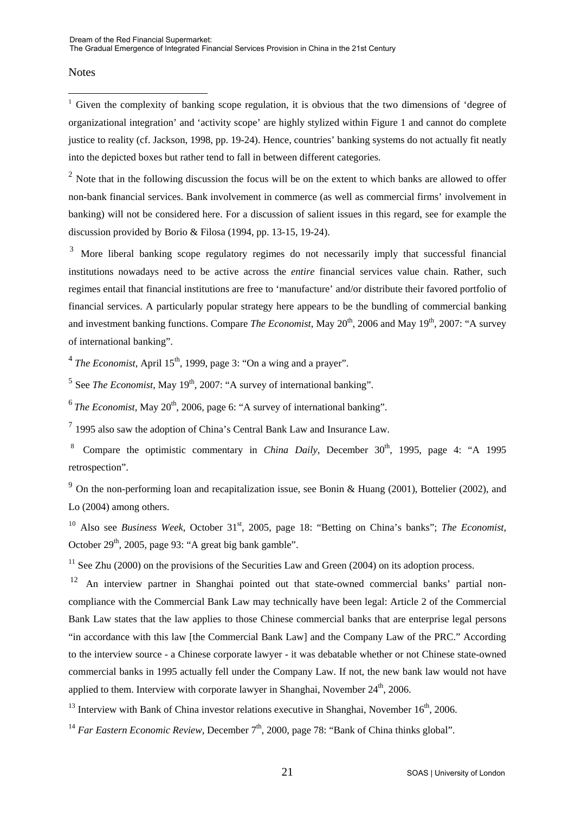### **Notes**

1

<sup>1</sup> Given the complexity of banking scope regulation, it is obvious that the two dimensions of 'degree of organizational integration' and 'activity scope' are highly stylized within Figure 1 and cannot do complete justice to reality (cf. Jackson, 1998, pp. 19-24). Hence, countries' banking systems do not actually fit neatly into the depicted boxes but rather tend to fall in between different categories.

 $2$  Note that in the following discussion the focus will be on the extent to which banks are allowed to offer non-bank financial services. Bank involvement in commerce (as well as commercial firms' involvement in banking) will not be considered here. For a discussion of salient issues in this regard, see for example the discussion provided by Borio & Filosa (1994, pp. 13-15, 19-24).

<sup>3</sup> More liberal banking scope regulatory regimes do not necessarily imply that successful financial institutions nowadays need to be active across the *entire* financial services value chain. Rather, such regimes entail that financial institutions are free to 'manufacture' and/or distribute their favored portfolio of financial services. A particularly popular strategy here appears to be the bundling of commercial banking and investment banking functions. Compare *The Economist*, May 20<sup>th</sup>, 2006 and May 19<sup>th</sup>, 2007: "A survey of international banking".

 $4$  *The Economist*, April 15<sup>th</sup>, 1999, page 3: "On a wing and a prayer".

 $5$  See *The Economist*, May  $19<sup>th</sup>$ , 2007: "A survey of international banking".

 $6$ *The Economist*, May 20<sup>th</sup>, 2006, page 6: "A survey of international banking".

<sup>7</sup> 1995 also saw the adoption of China's Central Bank Law and Insurance Law.

<sup>8</sup> Compare the optimistic commentary in *China Daily*, December 30<sup>th</sup>, 1995, page 4: "A 1995 retrospection".

<sup>9</sup> On the non-performing loan and recapitalization issue, see Bonin & Huang (2001), Bottelier (2002), and Lo (2004) among others.

<sup>10</sup> Also see *Business Week*, October 31<sup>st</sup>, 2005, page 18: "Betting on China's banks"; *The Economist*, October  $29<sup>th</sup>$ , 2005, page 93: "A great big bank gamble".

 $11$  See Zhu (2000) on the provisions of the Securities Law and Green (2004) on its adoption process.

 $12$  An interview partner in Shanghai pointed out that state-owned commercial banks' partial noncompliance with the Commercial Bank Law may technically have been legal: Article 2 of the Commercial Bank Law states that the law applies to those Chinese commercial banks that are enterprise legal persons "in accordance with this law [the Commercial Bank Law] and the Company Law of the PRC." According to the interview source - a Chinese corporate lawyer - it was debatable whether or not Chinese state-owned commercial banks in 1995 actually fell under the Company Law. If not, the new bank law would not have applied to them. Interview with corporate lawyer in Shanghai, November  $24<sup>th</sup>$ , 2006.

<sup>13</sup> Interview with Bank of China investor relations executive in Shanghai, November  $16<sup>th</sup>$ , 2006.

<sup>14</sup> *Far Eastern Economic Review*, December  $7<sup>th</sup>$ , 2000, page 78: "Bank of China thinks global".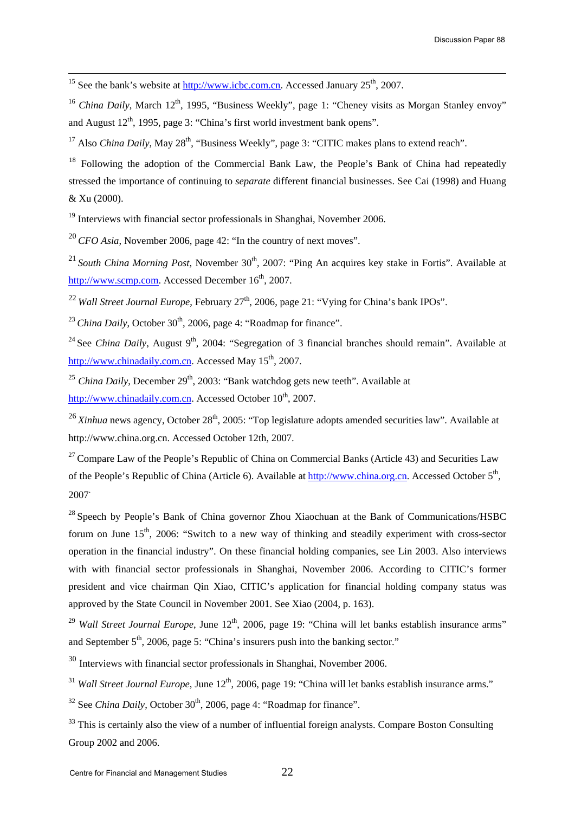<sup>15</sup> See the bank's website at [http://www.icbc.com.cn.](http://www.icbc.com.cn/) Accessed January  $25<sup>th</sup>$ , 2007.

<sup>16</sup> *China Daily*, March 12<sup>th</sup>, 1995, "Business Weekly", page 1: "Cheney visits as Morgan Stanley envoy" and August  $12<sup>th</sup>$ , 1995, page 3: "China's first world investment bank opens".

<sup>17</sup> Also *China Daily*, May  $28<sup>th</sup>$ , "Business Weekly", page 3: "CITIC makes plans to extend reach".

<sup>18</sup> Following the adoption of the Commercial Bank Law, the People's Bank of China had repeatedly stressed the importance of continuing to *separate* different financial businesses. See Cai (1998) and Huang & Xu (2000).

 $19$  Interviews with financial sector professionals in Shanghai, November 2006.

<sup>20</sup>*CFO Asia*, November 2006, page 42: "In the country of next moves".

<sup>21</sup> South China Morning Post, November 30<sup>th</sup>, 2007: "Ping An acquires key stake in Fortis". Available at [http://www.scmp.com](http://www.scmp.com/). Accessed December  $16<sup>th</sup>$ , 2007.

<sup>22</sup> Wall Street Journal Europe, February  $27<sup>th</sup>$ , 2006, page 21: "Vying for China's bank IPOs".

<sup>23</sup> *China Daily*, October  $30<sup>th</sup>$ , 2006, page 4: "Roadmap for finance".

<sup>24</sup> See *China Daily*, August 9<sup>th</sup>, 2004: "Segregation of 3 financial branches should remain". Available at [http://www.chinadaily.com.cn](http://chinadaily.com.cn/). Accessed May  $15<sup>th</sup>$ , 2007.

<sup>25</sup> *China Daily*, December  $29<sup>th</sup>$ , 2003: "Bank watchdog gets new teeth". Available at [http://www.chinadaily.com.cn](http://www.chinadaily.com.cn/). Accessed October 10<sup>th</sup>, 2007.

<sup>26</sup>Xinhua news agency, October 28<sup>th</sup>, 2005: "Top legislature adopts amended securities law". Available at [http://www.china.org.cn](http://www.china.org.cn/). Accessed October 12th, 2007.

<sup>27</sup> Compare Law of the People's Republic of China on Commercial Banks (Article 43) and Securities Law of the People's Republic of China (Article 6). Available at [http://www.china.org.cn](http://www.china.org.cn/). Accessed October 5<sup>th</sup>, 2007.

<sup>28</sup> Speech by People's Bank of China governor Zhou Xiaochuan at the Bank of Communications/HSBC forum on June  $15<sup>th</sup>$ , 2006: "Switch to a new way of thinking and steadily experiment with cross-sector operation in the financial industry". On these financial holding companies, see Lin 2003. Also interviews with with financial sector professionals in Shanghai, November 2006. According to CITIC's former president and vice chairman Qin Xiao, CITIC's application for financial holding company status was approved by the State Council in November 2001. See Xiao (2004, p. 163).

<sup>29</sup> *Wall Street Journal Europe*, June 12<sup>th</sup>, 2006, page 19: "China will let banks establish insurance arms" and September  $5<sup>th</sup>$ , 2006, page 5: "China's insurers push into the banking sector."

<sup>30</sup> Interviews with financial sector professionals in Shanghai, November 2006.

 $31$  *Wall Street Journal Europe*, June  $12<sup>th</sup>$ , 2006, page 19: "China will let banks establish insurance arms."

 $32$  See *China Daily*, October  $30<sup>th</sup>$ , 2006, page 4: "Roadman for finance".

 $33$  This is certainly also the view of a number of influential foreign analysts. Compare Boston Consulting Group 2002 and 2006.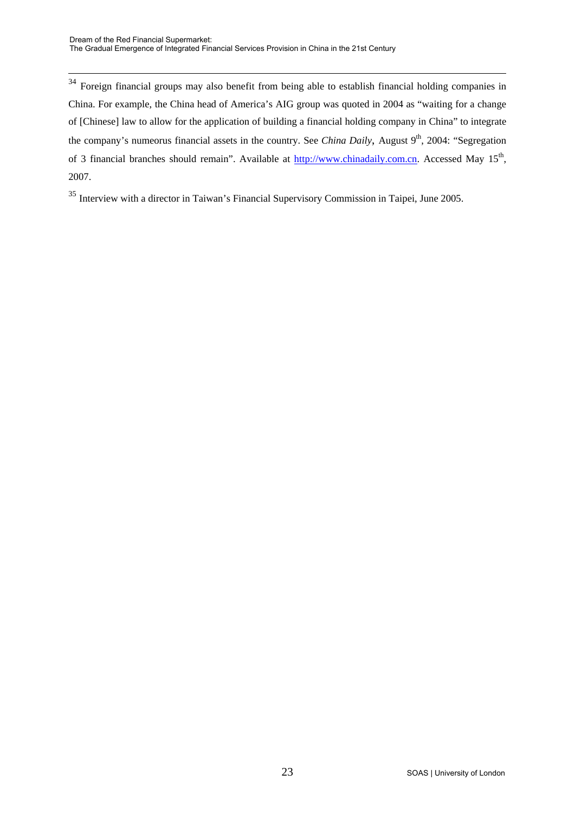<sup>34</sup> Foreign financial groups may also benefit from being able to establish financial holding companies in China. For example, the China head of America's AIG group was quoted in 2004 as "waiting for a change of [Chinese] law to allow for the application of building a financial holding company in China" to integrate the company's numeorus financial assets in the country. See *China Daily*, August 9<sup>th</sup>, 2004: "Segregation of 3 financial branches should remain". Available at [http://www.chinadaily.com.cn](http://chinadaily.com.cn/). Accessed May 15<sup>th</sup>, 2007.

<sup>35</sup> Interview with a director in Taiwan's Financial Supervisory Commission in Taipei, June 2005.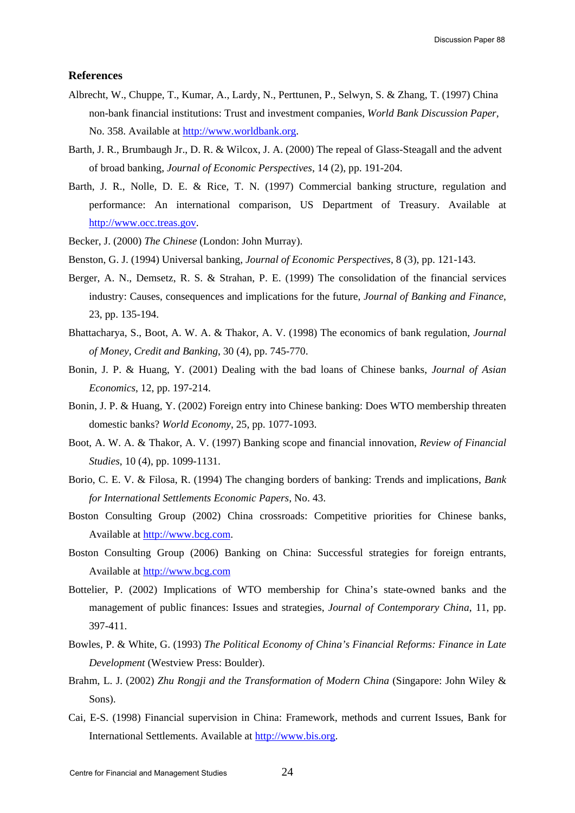#### **References**

- Albrecht, W., Chuppe, T., Kumar, A., Lardy, N., Perttunen, P., Selwyn, S. & Zhang, T. (1997) China non-bank financial institutions: Trust and investment companies, *World Bank Discussion Paper,* No. 358. Available at [http://www.worldbank.org.](http://www.worldbank.org/)
- Barth, J. R., Brumbaugh Jr., D. R. & Wilcox, J. A. (2000) The repeal of Glass-Steagall and the advent of broad banking, *Journal of Economic Perspectives*, 14 (2), pp. 191-204.
- Barth, J. R., Nolle, D. E. & Rice, T. N. (1997) Commercial banking structure, regulation and performance: An international comparison, US Department of Treasury. Available at [http://www.occ.treas.gov](http://www.occ.treas.gov/).
- Becker, J. (2000) *The Chinese* (London: John Murray).
- Benston, G. J. (1994) Universal banking, *Journal of Economic Perspectives*, 8 (3), pp. 121-143.
- Berger, A. N., Demsetz, R. S. & Strahan, P. E. (1999) The consolidation of the financial services industry: Causes, consequences and implications for the future, *Journal of Banking and Finance*, 23, pp. 135-194.
- Bhattacharya, S., Boot, A. W. A. & Thakor, A. V. (1998) The economics of bank regulation, *Journal of Money, Credit and Banking*, 30 (4), pp. 745-770.
- Bonin, J. P. & Huang, Y. (2001) Dealing with the bad loans of Chinese banks, *Journal of Asian Economics*, 12, pp. 197-214.
- Bonin, J. P. & Huang, Y. (2002) Foreign entry into Chinese banking: Does WTO membership threaten domestic banks? *World Economy*, 25, pp. 1077-1093.
- Boot, A. W. A. & Thakor, A. V. (1997) Banking scope and financial innovation, *Review of Financial Studies*, 10 (4), pp. 1099-1131.
- Borio, C. E. V. & Filosa, R. (1994) The changing borders of banking: Trends and implications, *Bank for International Settlements Economic Papers*, No. 43.
- Boston Consulting Group (2002) China crossroads: Competitive priorities for Chinese banks, Available at [http://www.bcg.com.](http://www.bcg.com/)
- Boston Consulting Group (2006) Banking on China: Successful strategies for foreign entrants, Available at [http://www.bcg.com](http://www.bcg.com/)
- Bottelier, P. (2002) Implications of WTO membership for China's state-owned banks and the management of public finances: Issues and strategies, *Journal of Contemporary China*, 11, pp. 397-411.
- Bowles, P. & White, G. (1993) *The Political Economy of China's Financial Reforms: Finance in Late Development* (Westview Press: Boulder).
- Brahm, L. J. (2002) *Zhu Rongji and the Transformation of Modern China* (Singapore: John Wiley & Sons).
- Cai, E-S. (1998) Financial supervision in China: Framework, methods and current Issues, Bank for International Settlements. Available at http://www.bis.org.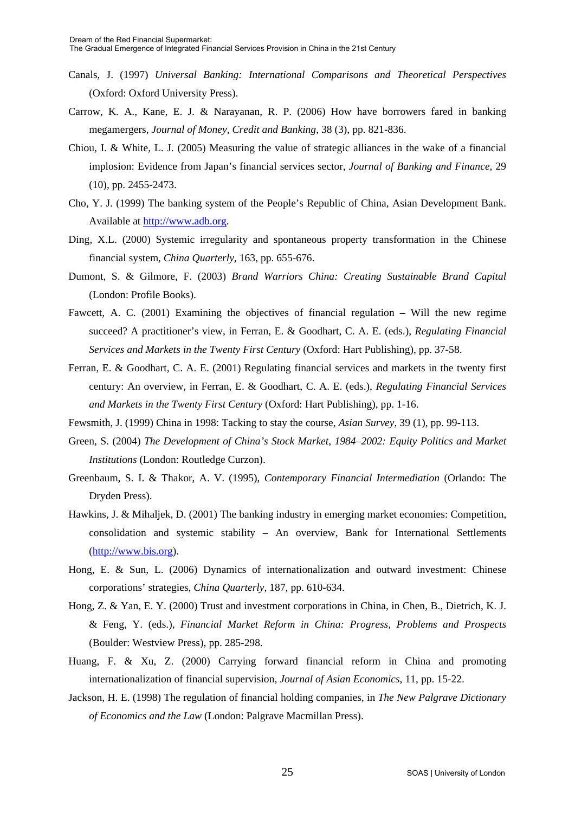- Canals, J. (1997) *Universal Banking: International Comparisons and Theoretical Perspectives* (Oxford: Oxford University Press).
- Carrow, K. A., Kane, E. J. & Narayanan, R. P. (2006) How have borrowers fared in banking megamergers, *Journal of Money, Credit and Banking*, 38 (3), pp. 821-836.
- Chiou, I. & White, L. J. (2005) Measuring the value of strategic alliances in the wake of a financial implosion: Evidence from Japan's financial services sector, *Journal of Banking and Finance*, 29 (10), pp. 2455-2473.
- Cho, Y. J. (1999) The banking system of the People's Republic of China, Asian Development Bank. Available at [http://www.adb.org.](http://www.adb.org/)
- Ding, X.L. (2000) Systemic irregularity and spontaneous property transformation in the Chinese financial system, *China Quarterly*, 163, pp. 655-676.
- Dumont, S. & Gilmore, F. (2003) *Brand Warriors China: Creating Sustainable Brand Capital* (London: Profile Books).
- Fawcett, A. C. (2001) Examining the objectives of financial regulation Will the new regime succeed? A practitioner's view, in Ferran, E. & Goodhart, C. A. E. (eds.), *Regulating Financial Services and Markets in the Twenty First Century* (Oxford: Hart Publishing), pp. 37-58.
- Ferran, E. & Goodhart, C. A. E. (2001) Regulating financial services and markets in the twenty first century: An overview, in Ferran, E. & Goodhart, C. A. E. (eds.), *Regulating Financial Services and Markets in the Twenty First Century* (Oxford: Hart Publishing), pp. 1-16.
- Fewsmith, J. (1999) China in 1998: Tacking to stay the course, *Asian Survey*, 39 (1), pp. 99-113.
- Green, S. (2004) *The Development of China's Stock Market, 1984–2002: Equity Politics and Market Institutions* (London: Routledge Curzon).
- Greenbaum, S. I. & Thakor, A. V. (1995), *Contemporary Financial Intermediation* (Orlando: The Dryden Press).
- Hawkins, J. & Mihaljek, D. (2001) The banking industry in emerging market economies: Competition, consolidation and systemic stability – An overview, Bank for International Settlements (http://www.bis.org).
- Hong, E. & Sun, L. (2006) Dynamics of internationalization and outward investment: Chinese corporations' strategies, *China Quarterly*, 187, pp. 610-634.
- Hong, Z. & Yan, E. Y. (2000) Trust and investment corporations in China, in Chen, B., Dietrich, K. J. & Feng, Y. (eds.), *Financial Market Reform in China: Progress, Problems and Prospects* (Boulder: Westview Press), pp. 285-298.
- Huang, F. & Xu, Z. (2000) Carrying forward financial reform in China and promoting internationalization of financial supervision, *Journal of Asian Economics*, 11, pp. 15-22.
- Jackson, H. E. (1998) The regulation of financial holding companies, in *The New Palgrave Dictionary of Economics and the Law* (London: Palgrave Macmillan Press).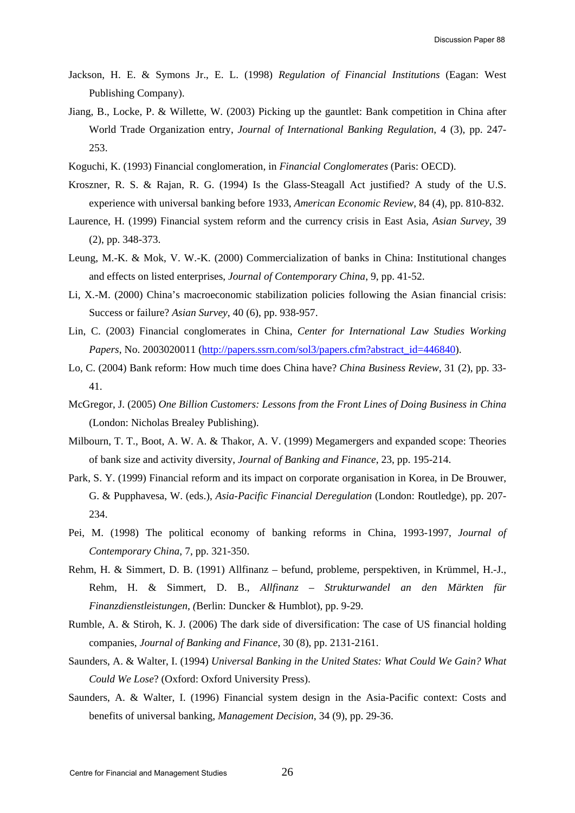- Jackson, H. E. & Symons Jr., E. L. (1998) *Regulation of Financial Institutions* (Eagan: West Publishing Company).
- Jiang, B., Locke, P. & Willette, W. (2003) Picking up the gauntlet: Bank competition in China after World Trade Organization entry, *Journal of International Banking Regulation*, 4 (3), pp. 247- 253.
- Koguchi, K. (1993) Financial conglomeration, in *Financial Conglomerates* (Paris: OECD).
- Kroszner, R. S. & Rajan, R. G. (1994) Is the Glass-Steagall Act justified? A study of the U.S. experience with universal banking before 1933, *American Economic Review*, 84 (4), pp. 810-832.
- Laurence, H. (1999) Financial system reform and the currency crisis in East Asia, *Asian Survey*, 39 (2), pp. 348-373.
- Leung, M.-K. & Mok, V. W.-K. (2000) Commercialization of banks in China: Institutional changes and effects on listed enterprises, *Journal of Contemporary China*, 9, pp. 41-52.
- Li, X.-M. (2000) China's macroeconomic stabilization policies following the Asian financial crisis: Success or failure? *Asian Survey*, 40 (6), pp. 938-957.
- Lin, C. (2003) Financial conglomerates in China, *Center for International Law Studies Working Papers*, No. 2003020011 [\(http://papers.ssrn.com/sol3/papers.cfm?abstract\\_id=446840\)](http://papers.ssrn.com/sol3/papers.cfm?abstract_id=446840).
- Lo, C. (2004) Bank reform: How much time does China have? *China Business Review*, 31 (2), pp. 33- 41.
- McGregor, J. (2005) *One Billion Customers: Lessons from the Front Lines of Doing Business in China* (London: Nicholas Brealey Publishing).
- Milbourn, T. T., Boot, A. W. A. & Thakor, A. V. (1999) Megamergers and expanded scope: Theories of bank size and activity diversity, *Journal of Banking and Finance*, 23, pp. 195-214.
- Park, S. Y. (1999) Financial reform and its impact on corporate organisation in Korea, in De Brouwer, G. & Pupphavesa, W. (eds.), *Asia-Pacific Financial Deregulation* (London: Routledge), pp. 207- 234.
- Pei, M. (1998) The political economy of banking reforms in China, 1993-1997, *Journal of Contemporary China*, 7, pp. 321-350.
- Rehm, H. & Simmert, D. B. (1991) Allfinanz befund, probleme, perspektiven, in Krümmel, H.-J., Rehm, H. & Simmert, D. B., *Allfinanz – Strukturwandel an den Märkten für Finanzdienstleistungen, (*Berlin: Duncker & Humblot), pp. 9-29.
- Rumble, A. & Stiroh, K. J. (2006) The dark side of diversification: The case of US financial holding companies, *Journal of Banking and Finance*, 30 (8), pp. 2131-2161.
- Saunders, A. & Walter, I. (1994) *Universal Banking in the United States: What Could We Gain? What Could We Lose*? (Oxford: Oxford University Press).
- Saunders, A. & Walter, I. (1996) Financial system design in the Asia-Pacific context: Costs and benefits of universal banking, *Management Decision*, 34 (9), pp. 29-36.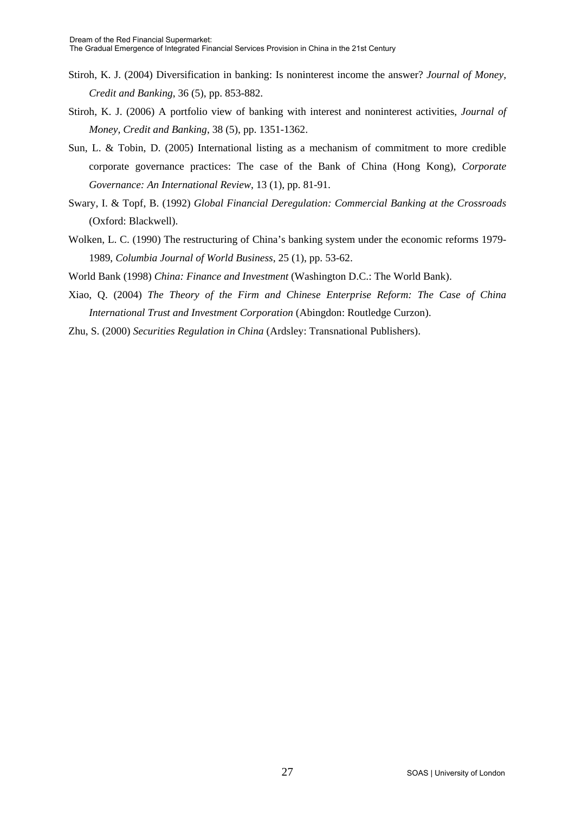- Stiroh, K. J. (2004) Diversification in banking: Is noninterest income the answer? *Journal of Money, Credit and Banking*, 36 (5), pp. 853-882.
- Stiroh, K. J. (2006) A portfolio view of banking with interest and noninterest activities, *Journal of Money, Credit and Banking*, 38 (5), pp. 1351-1362.
- Sun, L. & Tobin, D. (2005) International listing as a mechanism of commitment to more credible corporate governance practices: The case of the Bank of China (Hong Kong), *Corporate Governance: An International Review*, 13 (1), pp. 81-91.
- Swary, I. & Topf, B. (1992) *Global Financial Deregulation: Commercial Banking at the Crossroads* (Oxford: Blackwell).
- Wolken, L. C. (1990) The restructuring of China's banking system under the economic reforms 1979- 1989, *Columbia Journal of World Business*, 25 (1), pp. 53-62.

World Bank (1998) *China: Finance and Investment* (Washington D.C.: The World Bank).

- Xiao, Q. (2004) *The Theory of the Firm and Chinese Enterprise Reform: The Case of China International Trust and Investment Corporation* (Abingdon: Routledge Curzon).
- Zhu, S. (2000) *Securities Regulation in China* (Ardsley: Transnational Publishers).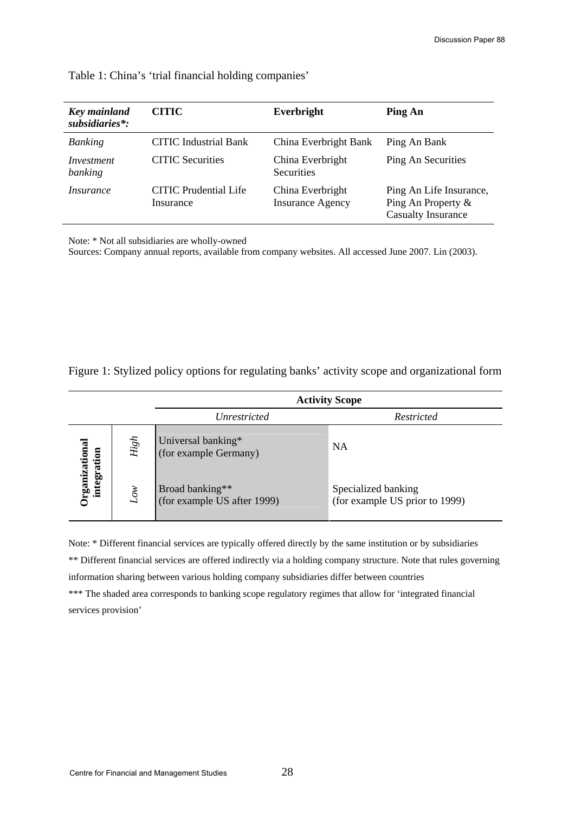| <b>Key mainland</b><br>subsidiaries*: | <b>CITIC</b>                              | Everbright                                  | <b>Ping An</b>                                                                |
|---------------------------------------|-------------------------------------------|---------------------------------------------|-------------------------------------------------------------------------------|
| <b>Banking</b>                        | <b>CITIC</b> Industrial Bank              | China Everbright Bank                       | Ping An Bank                                                                  |
| Investment<br>banking                 | <b>CITIC</b> Securities                   | China Everbright<br>Securities              | Ping An Securities                                                            |
| <i>Insurance</i>                      | <b>CITIC Prudential Life</b><br>Insurance | China Everbright<br><b>Insurance Agency</b> | Ping An Life Insurance,<br>Ping An Property $\&$<br><b>Casualty Insurance</b> |

Table 1: China's 'trial financial holding companies'

Note: \* Not all subsidiaries are wholly-owned

Sources: Company annual reports, available from company websites. All accessed June 2007. Lin (2003).

Figure 1: Stylized policy options for regulating banks' activity scope and organizational form

|                               |      | <b>Activity Scope</b>                          |                                                       |  |
|-------------------------------|------|------------------------------------------------|-------------------------------------------------------|--|
|                               |      | Unrestricted                                   | Restricted                                            |  |
| Organizational<br>integration | High | Universal banking*<br>(for example Germany)    | <b>NA</b>                                             |  |
|                               |      | Broad banking**<br>(for example US after 1999) | Specialized banking<br>(for example US prior to 1999) |  |

Note: \* Different financial services are typically offered directly by the same institution or by subsidiaries \*\* Different financial services are offered indirectly via a holding company structure. Note that rules governing information sharing between various holding company subsidiaries differ between countries \*\*\* The shaded area corresponds to banking scope regulatory regimes that allow for 'integrated financial services provision'